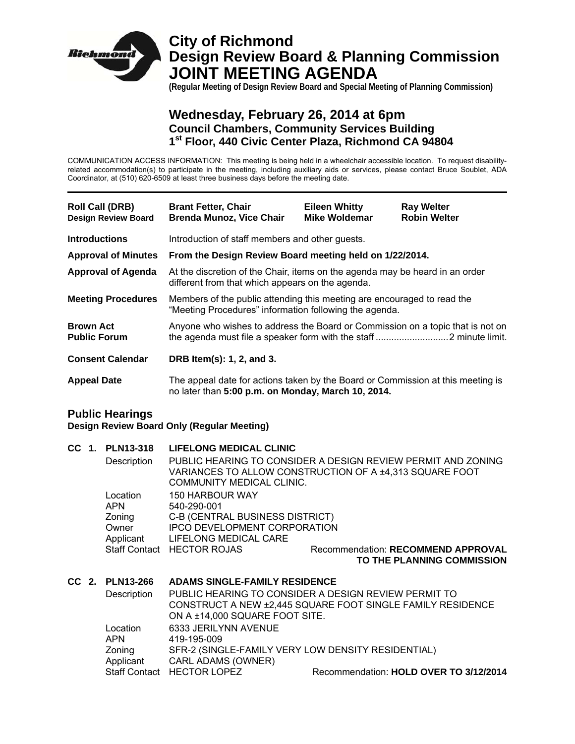

# **City of Richmond Design Review Board & Planning Commission JOINT MEETING AGENDA**

**(Regular Meeting of Design Review Board and Special Meeting of Planning Commission)** 

## **Wednesday, February 26, 2014 at 6pm Council Chambers, Community Services Building 1st Floor, 440 Civic Center Plaza, Richmond CA 94804**

COMMUNICATION ACCESS INFORMATION: This meeting is being held in a wheelchair accessible location. To request disabilityrelated accommodation(s) to participate in the meeting, including auxiliary aids or services, please contact Bruce Soublet, ADA Coordinator, at (510) 620-6509 at least three business days before the meeting date.

| <b>Roll Call (DRB)</b><br><b>Design Review Board</b> | <b>Brant Fetter, Chair</b><br><b>Brenda Munoz, Vice Chair</b>                                                                         | <b>Eileen Whitty</b><br><b>Mike Woldemar</b> | <b>Ray Welter</b><br><b>Robin Welter</b> |  |
|------------------------------------------------------|---------------------------------------------------------------------------------------------------------------------------------------|----------------------------------------------|------------------------------------------|--|
| <b>Introductions</b>                                 | Introduction of staff members and other guests.                                                                                       |                                              |                                          |  |
| <b>Approval of Minutes</b>                           | From the Design Review Board meeting held on 1/22/2014.                                                                               |                                              |                                          |  |
| <b>Approval of Agenda</b>                            | At the discretion of the Chair, items on the agenda may be heard in an order<br>different from that which appears on the agenda.      |                                              |                                          |  |
| <b>Meeting Procedures</b>                            | Members of the public attending this meeting are encouraged to read the<br>"Meeting Procedures" information following the agenda.     |                                              |                                          |  |
| <b>Brown Act</b><br><b>Public Forum</b>              | Anyone who wishes to address the Board or Commission on a topic that is not on                                                        |                                              |                                          |  |
| <b>Consent Calendar</b>                              | DRB Item(s): 1, 2, and 3.                                                                                                             |                                              |                                          |  |
| <b>Appeal Date</b>                                   | The appeal date for actions taken by the Board or Commission at this meeting is<br>no later than 5:00 p.m. on Monday, March 10, 2014. |                                              |                                          |  |
| <b>Public Hearings</b>                               |                                                                                                                                       |                                              |                                          |  |

**Design Review Board Only (Regular Meeting)** 

|  |  | CC 1. PLN13-318<br>Description                         | <b>LIFELONG MEDICAL CLINIC</b><br>PUBLIC HEARING TO CONSIDER A DESIGN REVIEW PERMIT AND ZONING<br>VARIANCES TO ALLOW CONSTRUCTION OF A ±4,313 SQUARE FOOT<br>COMMUNITY MEDICAL CLINIC. |                                                                                                                    |
|--|--|--------------------------------------------------------|----------------------------------------------------------------------------------------------------------------------------------------------------------------------------------------|--------------------------------------------------------------------------------------------------------------------|
|  |  | Location<br><b>APN</b><br>Zoning<br>Owner<br>Applicant | <b>150 HARBOUR WAY</b><br>540-290-001<br>C-B (CENTRAL BUSINESS DISTRICT)<br><b>IPCO DEVELOPMENT CORPORATION</b><br>LIFELONG MEDICAL CARE                                               |                                                                                                                    |
|  |  |                                                        | Staff Contact HECTOR ROJAS                                                                                                                                                             | <b>Recommendation: RECOMMEND APPROVAL</b><br>TO THE PLANNING COMMISSION                                            |
|  |  | CC 2. PLN13-266<br>Description                         | <b>ADAMS SINGLE-FAMILY RESIDENCE</b>                                                                                                                                                   | PUBLIC HEARING TO CONSIDER A DESIGN REVIEW PERMIT TO<br>CONSTRUCT A NEW ±2,445 SQUARE FOOT SINGLE FAMILY RESIDENCE |
|  |  | Location<br><b>APN</b><br>Zoning<br>Applicant          | ON A ±14,000 SQUARE FOOT SITE.<br>6333 JERILYNN AVENUE<br>419-195-009<br>SFR-2 (SINGLE-FAMILY VERY LOW DENSITY RESIDENTIAL)<br><b>CARL ADAMS (OWNER)</b>                               |                                                                                                                    |
|  |  |                                                        | Staff Contact HECTOR LOPEZ                                                                                                                                                             | Recommendation: HOLD OVER TO 3/12/2014                                                                             |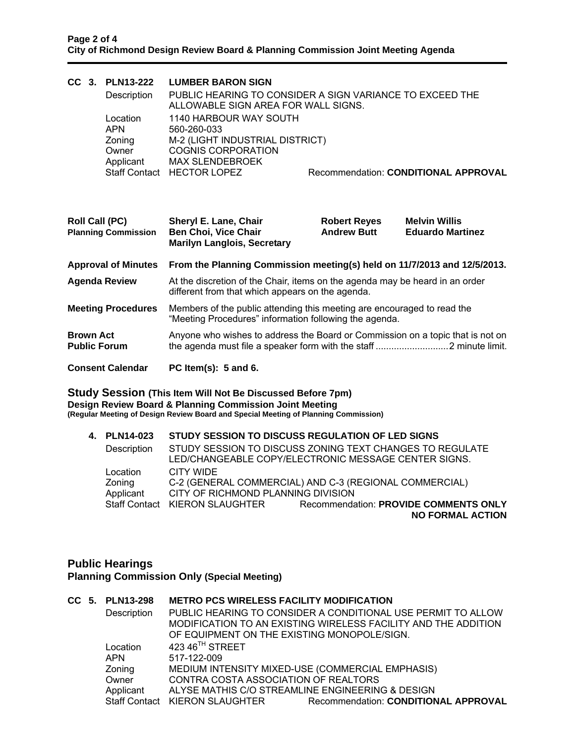|                                                     |  | CC 3. PLN13-222<br>Description<br>Location<br><b>APN</b><br>Zoning<br>Owner<br>Applicant<br><b>Staff Contact</b> | <b>LUMBER BARON SIGN</b><br>PUBLIC HEARING TO CONSIDER A SIGN VARIANCE TO EXCEED THE<br>ALLOWABLE SIGN AREA FOR WALL SIGNS.<br>1140 HARBOUR WAY SOUTH<br>560-260-033<br>M-2 (LIGHT INDUSTRIAL DISTRICT)<br><b>COGNIS CORPORATION</b><br><b>MAX SLENDEBROEK</b><br><b>HECTOR LOPEZ</b> |                                           | Recommendation: CONDITIONAL APPROVAL            |
|-----------------------------------------------------|--|------------------------------------------------------------------------------------------------------------------|---------------------------------------------------------------------------------------------------------------------------------------------------------------------------------------------------------------------------------------------------------------------------------------|-------------------------------------------|-------------------------------------------------|
| <b>Roll Call (PC)</b><br><b>Planning Commission</b> |  |                                                                                                                  | Sheryl E. Lane, Chair<br><b>Ben Choi, Vice Chair</b><br><b>Marilyn Langlois, Secretary</b>                                                                                                                                                                                            | <b>Robert Reyes</b><br><b>Andrew Butt</b> | <b>Melvin Willis</b><br><b>Eduardo Martinez</b> |
| <b>Approval of Minutes</b>                          |  |                                                                                                                  | From the Planning Commission meeting(s) held on 11/7/2013 and 12/5/2013.                                                                                                                                                                                                              |                                           |                                                 |
|                                                     |  | <b>Agenda Review</b>                                                                                             | At the discretion of the Chair, items on the agenda may be heard in an order<br>different from that which appears on the agenda.                                                                                                                                                      |                                           |                                                 |
|                                                     |  | <b>Meeting Procedures</b>                                                                                        | Members of the public attending this meeting are encouraged to read the<br>"Meeting Procedures" information following the agenda.                                                                                                                                                     |                                           |                                                 |
| <b>Brown Act</b>                                    |  | <b>Public Forum</b>                                                                                              | Anyone who wishes to address the Board or Commission on a topic that is not on                                                                                                                                                                                                        |                                           |                                                 |
|                                                     |  | <b>Consent Calendar</b>                                                                                          | PC Item(s): $5$ and $6$ .                                                                                                                                                                                                                                                             |                                           |                                                 |

**Study Session (This Item Will Not Be Discussed Before 7pm) Design Review Board & Planning Commission Joint Meeting (Regular Meeting of Design Review Board and Special Meeting of Planning Commission)** 

| 4. PLN14-023 |                                    | STUDY SESSION TO DISCUSS REGULATION OF LED SIGNS                                                                 |
|--------------|------------------------------------|------------------------------------------------------------------------------------------------------------------|
| Description  |                                    | STUDY SESSION TO DISCUSS ZONING TEXT CHANGES TO REGULATE<br>LED/CHANGEABLE COPY/ELECTRONIC MESSAGE CENTER SIGNS. |
| Location     | CITY WIDE                          |                                                                                                                  |
| Zoning       |                                    | C-2 (GENERAL COMMERCIAL) AND C-3 (REGIONAL COMMERCIAL)                                                           |
| Applicant    | CITY OF RICHMOND PLANNING DIVISION |                                                                                                                  |
|              | Staff Contact KIERON SLAUGHTER     | Recommendation: PROVIDE COMMENTS ONLY                                                                            |
|              |                                    | <b>NO FORMAL ACTION</b>                                                                                          |

#### **Public Hearings Planning Commission Only (Special Meeting)**

### **CC 5. PLN13-298 METRO PCS WIRELESS FACILITY MODIFICATION**

| Description | OF EQUIPMENT ON THE EXISTING MONOPOLE/SIGN. | PUBLIC HEARING TO CONSIDER A CONDITIONAL USE PERMIT TO ALLOW<br>MODIFICATION TO AN EXISTING WIRELESS FACILITY AND THE ADDITION |
|-------------|---------------------------------------------|--------------------------------------------------------------------------------------------------------------------------------|
| Location    | 423 46 <sup>TH</sup> STREET                 |                                                                                                                                |
| <b>APN</b>  | 517-122-009                                 |                                                                                                                                |
| Zoning      |                                             | MEDIUM INTENSITY MIXED-USE (COMMERCIAL EMPHASIS)                                                                               |
| Owner       | CONTRA COSTA ASSOCIATION OF REALTORS        |                                                                                                                                |
| Applicant   |                                             | ALYSE MATHIS C/O STREAMLINE ENGINEERING & DESIGN                                                                               |
|             | Staff Contact KIERON SLAUGHTER              | Recommendation: CONDITIONAL APPROVAL                                                                                           |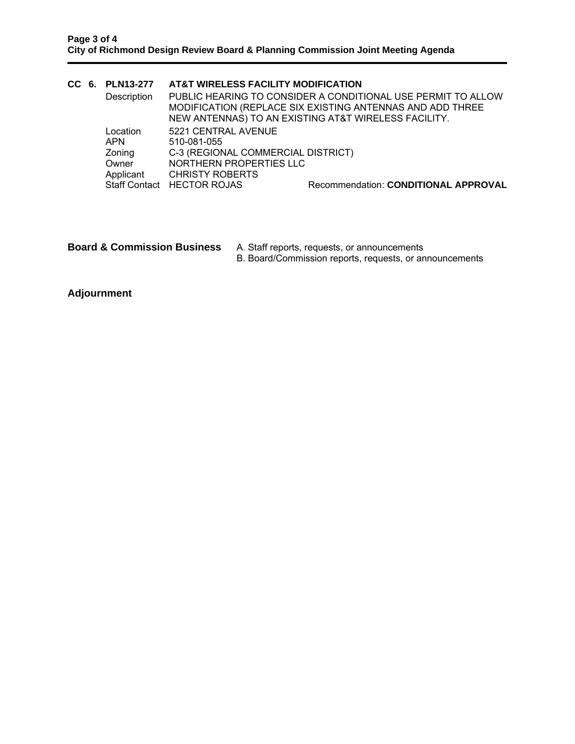|            |  | CC 6. PLN13-277 | AT&T WIRELESS FACILITY MODIFICATION |                                                                                                                                                                                   |
|------------|--|-----------------|-------------------------------------|-----------------------------------------------------------------------------------------------------------------------------------------------------------------------------------|
|            |  | Description     |                                     | PUBLIC HEARING TO CONSIDER A CONDITIONAL USE PERMIT TO ALLOW<br>MODIFICATION (REPLACE SIX EXISTING ANTENNAS AND ADD THREE<br>NEW ANTENNAS) TO AN EXISTING AT&T WIRELESS FACILITY. |
|            |  | Location        | 5221 CENTRAL AVENUE                 |                                                                                                                                                                                   |
| <b>APN</b> |  |                 | 510-081-055                         |                                                                                                                                                                                   |
|            |  | Zoning          | C-3 (REGIONAL COMMERCIAL DISTRICT)  |                                                                                                                                                                                   |
|            |  | Owner           | NORTHERN PROPERTIES LLC             |                                                                                                                                                                                   |
|            |  | Applicant       | <b>CHRISTY ROBERTS</b>              |                                                                                                                                                                                   |
|            |  |                 | Staff Contact HECTOR ROJAS          | Recommendation: CONDITIONAL APPROVAL                                                                                                                                              |

**Board & Commission Business** A. Staff reports, requests, or announcements B. Board/Commission reports, requests, or announcements

**Adjournment**